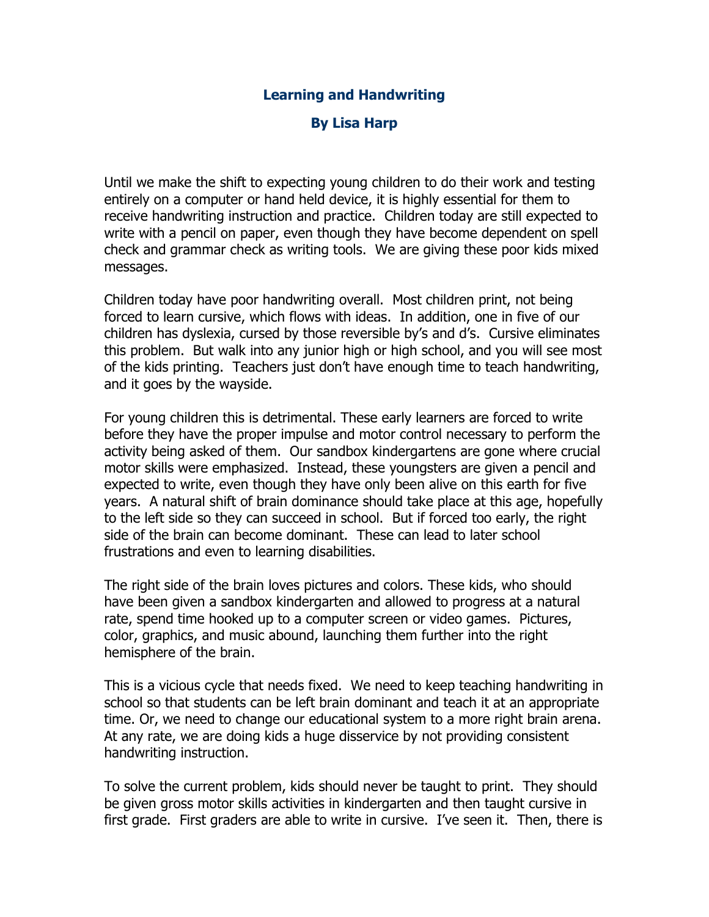## **Learning and Handwriting**

## **By Lisa Harp**

Until we make the shift to expecting young children to do their work and testing entirely on a computer or hand held device, it is highly essential for them to receive handwriting instruction and practice. Children today are still expected to write with a pencil on paper, even though they have become dependent on spell check and grammar check as writing tools. We are giving these poor kids mixed messages.

Children today have poor handwriting overall. Most children print, not being forced to learn cursive, which flows with ideas. In addition, one in five of our children has dyslexia, cursed by those reversible by's and d's. Cursive eliminates this problem. But walk into any junior high or high school, and you will see most of the kids printing. Teachers just don't have enough time to teach handwriting, and it goes by the wayside.

For young children this is detrimental. These early learners are forced to write before they have the proper impulse and motor control necessary to perform the activity being asked of them. Our sandbox kindergartens are gone where crucial motor skills were emphasized. Instead, these youngsters are given a pencil and expected to write, even though they have only been alive on this earth for five years. A natural shift of brain dominance should take place at this age, hopefully to the left side so they can succeed in school. But if forced too early, the right side of the brain can become dominant. These can lead to later school frustrations and even to learning disabilities.

The right side of the brain loves pictures and colors. These kids, who should have been given a sandbox kindergarten and allowed to progress at a natural rate, spend time hooked up to a computer screen or video games. Pictures, color, graphics, and music abound, launching them further into the right hemisphere of the brain.

This is a vicious cycle that needs fixed. We need to keep teaching handwriting in school so that students can be left brain dominant and teach it at an appropriate time. Or, we need to change our educational system to a more right brain arena. At any rate, we are doing kids a huge disservice by not providing consistent handwriting instruction.

To solve the current problem, kids should never be taught to print. They should be given gross motor skills activities in kindergarten and then taught cursive in first grade. First graders are able to write in cursive. I've seen it. Then, there is